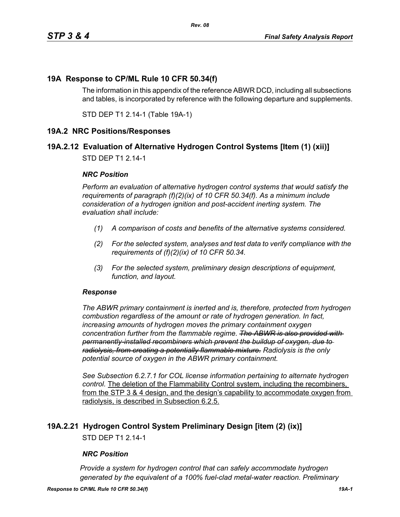### **19A Response to CP/ML Rule 10 CFR 50.34(f)**

The information in this appendix of the reference ABWR DCD, including all subsections and tables, is incorporated by reference with the following departure and supplements.

STD DEP T1 2.14-1 (Table 19A-1)

### **19A.2 NRC Positions/Responses**

### **19A.2.12 Evaluation of Alternative Hydrogen Control Systems [Item (1) (xii)]**

STD DEP T1 2.14-1

#### *NRC Position*

*Perform an evaluation of alternative hydrogen control systems that would satisfy the requirements of paragraph (f)(2)(ix) of 10 CFR 50.34(f). As a minimum include consideration of a hydrogen ignition and post-accident inerting system. The evaluation shall include:*

- *(1) A comparison of costs and benefits of the alternative systems considered.*
- *(2) For the selected system, analyses and test data to verify compliance with the requirements of (f)(2)(ix) of 10 CFR 50.34.*
- *(3) For the selected system, preliminary design descriptions of equipment, function, and layout.*

#### *Response*

*The ABWR primary containment is inerted and is, therefore, protected from hydrogen combustion regardless of the amount or rate of hydrogen generation. In fact, increasing amounts of hydrogen moves the primary containment oxygen concentration further from the flammable regime. The ABWR is also provided with permanently-installed recombiners which prevent the buildup of oxygen, due to radiolysis, from creating a potentially flammable mixture. Radiolysis is the only potential source of oxygen in the ABWR primary containment.*

*See Subsection 6.2.7.1 for COL license information pertaining to alternate hydrogen control.* The deletion of the Flammability Control system, including the recombiners, from the STP 3 & 4 design, and the design's capability to accommodate oxygen from radiolysis, is described in Subsection 6.2.5.

### **19A.2.21 Hydrogen Control System Preliminary Design [item (2) (ix)]**

STD DEP T1 2.14-1

#### *NRC Position*

*Provide a system for hydrogen control that can safely accommodate hydrogen generated by the equivalent of a 100% fuel-clad metal-water reaction. Preliminary*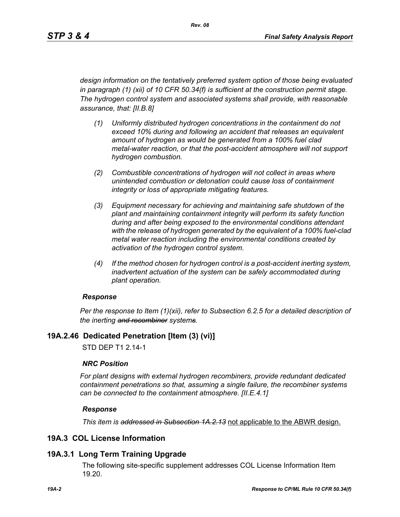*design information on the tentatively preferred system option of those being evaluated in paragraph (1) (xii) of 10 CFR 50.34(f) is sufficient at the construction permit stage. The hydrogen control system and associated systems shall provide, with reasonable assurance, that: [II.B.8]*

- *(1) Uniformly distributed hydrogen concentrations in the containment do not exceed 10% during and following an accident that releases an equivalent amount of hydrogen as would be generated from a 100% fuel clad metal-water reaction, or that the post-accident atmosphere will not support hydrogen combustion.*
- *(2) Combustible concentrations of hydrogen will not collect in areas where unintended combustion or detonation could cause loss of containment integrity or loss of appropriate mitigating features.*
- *(3) Equipment necessary for achieving and maintaining safe shutdown of the plant and maintaining containment integrity will perform its safety function during and after being exposed to the environmental conditions attendant with the release of hydrogen generated by the equivalent of a 100% fuel-clad metal water reaction including the environmental conditions created by activation of the hydrogen control system.*
- *(4) If the method chosen for hydrogen control is a post-accident inerting system, inadvertent actuation of the system can be safely accommodated during plant operation.*

### *Response*

*Per the response to Item (1)(xii), refer to Subsection 6.2.5 for a detailed description of the inerting and recombiner systems.*

### **19A.2.46 Dedicated Penetration [Item (3) (vi)]**

STD DEP T1 2.14-1

### *NRC Position*

*For plant designs with external hydrogen recombiners, provide redundant dedicated containment penetrations so that, assuming a single failure, the recombiner systems can be connected to the containment atmosphere. [II.E.4.1]*

### *Response*

*This item is addressed in Subsection 1A.2.13* not applicable to the ABWR design.

### **19A.3 COL License Information**

### **19A.3.1 Long Term Training Upgrade**

The following site-specific supplement addresses COL License Information Item 19.20.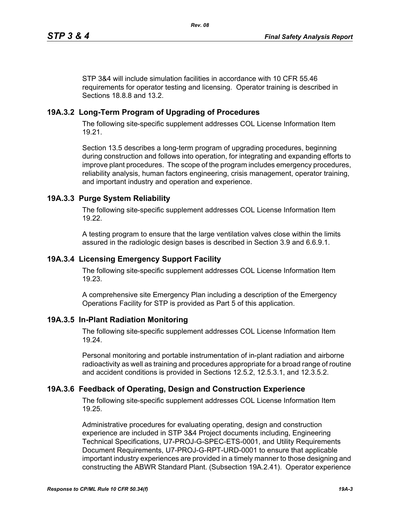STP 3&4 will include simulation facilities in accordance with 10 CFR 55.46 requirements for operator testing and licensing. Operator training is described in Sections 18.8.8 and 13.2.

## **19A.3.2 Long-Term Program of Upgrading of Procedures**

The following site-specific supplement addresses COL License Information Item 19.21.

Section 13.5 describes a long-term program of upgrading procedures, beginning during construction and follows into operation, for integrating and expanding efforts to improve plant procedures. The scope of the program includes emergency procedures, reliability analysis, human factors engineering, crisis management, operator training, and important industry and operation and experience.

## **19A.3.3 Purge System Reliability**

The following site-specific supplement addresses COL License Information Item 19.22.

A testing program to ensure that the large ventilation valves close within the limits assured in the radiologic design bases is described in Section 3.9 and 6.6.9.1.

### **19A.3.4 Licensing Emergency Support Facility**

The following site-specific supplement addresses COL License Information Item 19.23.

A comprehensive site Emergency Plan including a description of the Emergency Operations Facility for STP is provided as Part 5 of this application.

### **19A.3.5 In-Plant Radiation Monitoring**

The following site-specific supplement addresses COL License Information Item 19.24.

Personal monitoring and portable instrumentation of in-plant radiation and airborne radioactivity as well as training and procedures appropriate for a broad range of routine and accident conditions is provided in Sections 12.5.2, 12.5.3.1, and 12.3.5.2.

### **19A.3.6 Feedback of Operating, Design and Construction Experience**

The following site-specific supplement addresses COL License Information Item 19.25.

Administrative procedures for evaluating operating, design and construction experience are included in STP 3&4 Project documents including, Engineering Technical Specifications, U7-PROJ-G-SPEC-ETS-0001, and Utility Requirements Document Requirements, U7-PROJ-G-RPT-URD-0001 to ensure that applicable important industry experiences are provided in a timely manner to those designing and constructing the ABWR Standard Plant. (Subsection 19A.2.41). Operator experience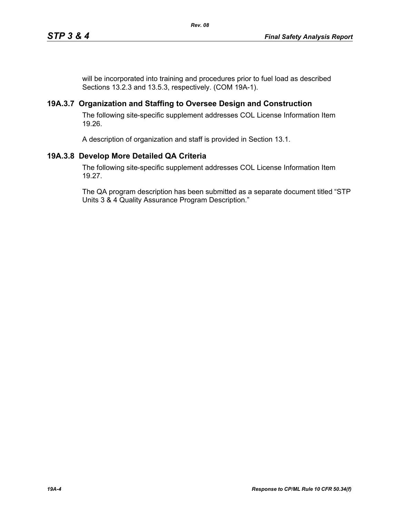will be incorporated into training and procedures prior to fuel load as described Sections 13.2.3 and 13.5.3, respectively. (COM 19A-1).

### **19A.3.7 Organization and Staffing to Oversee Design and Construction**

The following site-specific supplement addresses COL License Information Item 19.26.

A description of organization and staff is provided in Section 13.1.

# **19A.3.8 Develop More Detailed QA Criteria**

The following site-specific supplement addresses COL License Information Item 19.27.

The QA program description has been submitted as a separate document titled "STP Units 3 & 4 Quality Assurance Program Description."